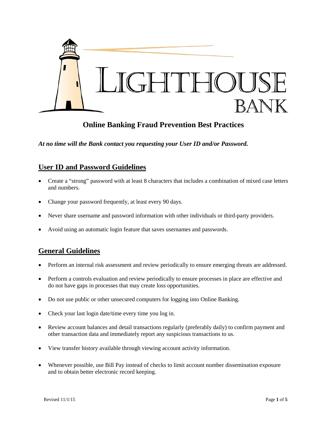

# **Online Banking Fraud Prevention Best Practices**

*At no time will the Bank contact you requesting your User ID and/or Password.*

### **User ID and Password Guidelines**

- Create a "strong" password with at least 8 characters that includes a combination of mixed case letters and numbers.
- Change your password frequently, at least every 90 days.
- Never share username and password information with other individuals or third-party providers.
- Avoid using an automatic login feature that saves usernames and passwords.

### **General Guidelines**

- Perform an internal risk assessment and review periodically to ensure emerging threats are addressed.
- Perform a controls evaluation and review periodically to ensure processes in place are effective and do not have gaps in processes that may create loss opportunities.
- Do not use public or other unsecured computers for logging into Online Banking.
- Check your last login date/time every time you log in.
- Review account balances and detail transactions regularly (preferably daily) to confirm payment and other transaction data and immediately report any suspicious transactions to us.
- View transfer history available through viewing account activity information.
- Whenever possible, use Bill Pay instead of checks to limit account number dissemination exposure and to obtain better electronic record keeping.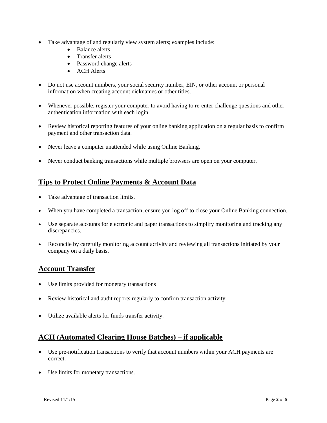- Take advantage of and regularly view system alerts; examples include:
	- Balance alerts
	- Transfer alerts
	- Password change alerts
	- ACH Alerts
- Do not use account numbers, your social security number, EIN, or other account or personal information when creating account nicknames or other titles.
- Whenever possible, register your computer to avoid having to re-enter challenge questions and other authentication information with each login.
- Review historical reporting features of your online banking application on a regular basis to confirm payment and other transaction data.
- Never leave a computer unattended while using Online Banking.
- Never conduct banking transactions while multiple browsers are open on your computer.

## **Tips to Protect Online Payments & Account Data**

- Take advantage of transaction limits.
- When you have completed a transaction, ensure you log off to close your Online Banking connection.
- Use separate accounts for electronic and paper transactions to simplify monitoring and tracking any discrepancies.
- Reconcile by carefully monitoring account activity and reviewing all transactions initiated by your company on a daily basis.

### **Account Transfer**

- Use limits provided for monetary transactions
- Review historical and audit reports regularly to confirm transaction activity.
- Utilize available alerts for funds transfer activity.

## **ACH (Automated Clearing House Batches) – if applicable**

- Use pre-notification transactions to verify that account numbers within your ACH payments are correct.
- Use limits for monetary transactions.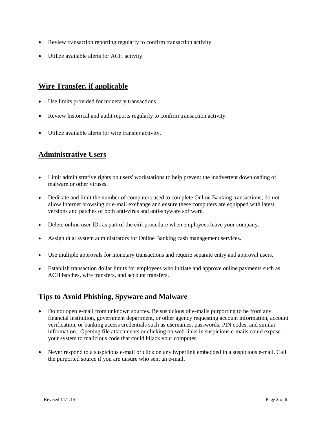- Review transaction reporting regularly to confirm transaction activity.
- Utilize available alerts for ACH activity.

# **Wire Transfer, if applicable**

- Use limits provided for monetary transactions.
- Review historical and audit reports regularly to confirm transaction activity.
- Utilize available alerts for wire transfer activity.

## **Administrative Users**

- Limit administrative rights on users' workstations to help prevent the inadvertent downloading of malware or other viruses.
- Dedicate and limit the number of computers used to complete Online Banking transactions; do not allow Internet browsing or e-mail exchange and ensure these computers are equipped with latest versions and patches of both anti-virus and anti-spyware software.
- Delete online user IDs as part of the exit procedure when employees leave your company.
- Assign dual system administrators for Online Banking cash management services.
- Use multiple approvals for monetary transactions and require separate entry and approval users.
- Establish transaction dollar limits for employees who initiate and approve online payments such as ACH batches, wire transfers, and account transfers.

## **Tips to Avoid Phishing, Spyware and Malware**

- Do not open e-mail from unknown sources. Be suspicious of e-mails purporting to be from any financial institution, government department, or other agency requesting account information, account verification, or banking access credentials such as usernames, passwords, PIN codes, and similar information. Opening file attachments or clicking on web links in suspicious e-mails could expose your system to malicious code that could hijack your computer.
- Never respond to a suspicious e-mail or click on any hyperlink embedded in a suspicious e-mail. Call the purported source if you are unsure who sent an e-mail.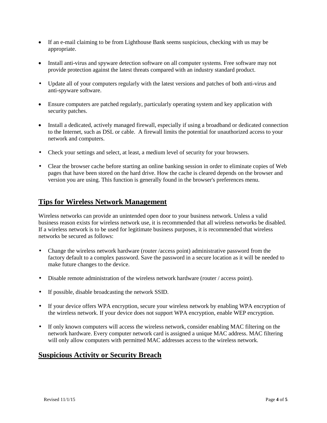- If an e-mail claiming to be from Lighthouse Bank seems suspicious, checking with us may be appropriate.
- Install anti-virus and spyware detection software on all computer systems. Free software may not provide protection against the latest threats compared with an industry standard product.
- Update all of your computers regularly with the latest versions and patches of both anti-virus and anti-spyware software.
- Ensure computers are patched regularly, particularly operating system and key application with security patches.
- Install a dedicated, actively managed firewall, especially if using a broadband or dedicated connection to the Internet, such as DSL or cable. A firewall limits the potential for unauthorized access to your network and computers.
- Check your settings and select, at least, a medium level of security for your browsers.
- Clear the browser cache before starting an online banking session in order to eliminate copies of Web pages that have been stored on the hard drive. How the cache is cleared depends on the browser and version you are using. This function is generally found in the browser's preferences menu.

### **Tips for Wireless Network Management**

Wireless networks can provide an unintended open door to your business network. Unless a valid business reason exists for wireless network use, it is recommended that all wireless networks be disabled. If a wireless network is to be used for legitimate business purposes, it is recommended that wireless networks be secured as follows:

- Change the wireless network hardware (router /access point) administrative password from the factory default to a complex password. Save the password in a secure location as it will be needed to make future changes to the device.
- Disable remote administration of the wireless network hardware (router / access point).
- If possible, disable broadcasting the network SSID.
- If your device offers WPA encryption, secure your wireless network by enabling WPA encryption of the wireless network. If your device does not support WPA encryption, enable WEP encryption.
- If only known computers will access the wireless network, consider enabling MAC filtering on the network hardware. Every computer network card is assigned a unique MAC address. MAC filtering will only allow computers with permitted MAC addresses access to the wireless network.

### **Suspicious Activity or Security Breach**